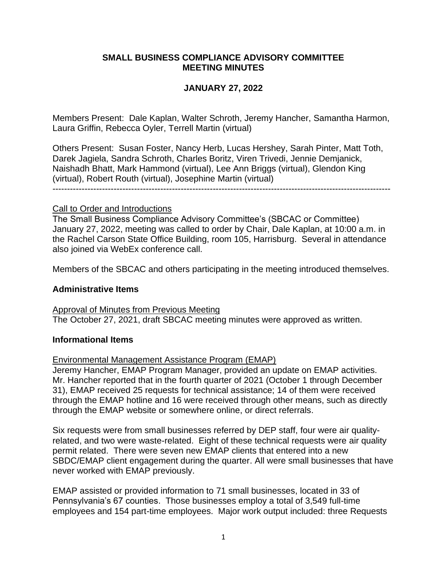## **SMALL BUSINESS COMPLIANCE ADVISORY COMMITTEE MEETING MINUTES**

# **JANUARY 27, 2022**

Members Present: Dale Kaplan, Walter Schroth, Jeremy Hancher, Samantha Harmon, Laura Griffin, Rebecca Oyler, Terrell Martin (virtual)

Others Present: Susan Foster, Nancy Herb, Lucas Hershey, Sarah Pinter, Matt Toth, Darek Jagiela, Sandra Schroth, Charles Boritz, Viren Trivedi, Jennie Demjanick, Naishadh Bhatt, Mark Hammond (virtual), Lee Ann Briggs (virtual), Glendon King (virtual), Robert Routh (virtual), Josephine Martin (virtual)

#### Call to Order and Introductions

The Small Business Compliance Advisory Committee's (SBCAC or Committee) January 27, 2022, meeting was called to order by Chair, Dale Kaplan, at 10:00 a.m. in the Rachel Carson State Office Building, room 105, Harrisburg. Several in attendance also joined via WebEx conference call.

Members of the SBCAC and others participating in the meeting introduced themselves.

#### **Administrative Items**

Approval of Minutes from Previous Meeting The October 27, 2021, draft SBCAC meeting minutes were approved as written.

## **Informational Items**

## Environmental Management Assistance Program (EMAP)

Jeremy Hancher, EMAP Program Manager, provided an update on EMAP activities. Mr. Hancher reported that in the fourth quarter of 2021 (October 1 through December 31), EMAP received 25 requests for technical assistance; 14 of them were received through the EMAP hotline and 16 were received through other means, such as directly through the EMAP website or somewhere online, or direct referrals.

Six requests were from small businesses referred by DEP staff, four were air qualityrelated, and two were waste-related. Eight of these technical requests were air quality permit related. There were seven new EMAP clients that entered into a new SBDC/EMAP client engagement during the quarter. All were small businesses that have never worked with EMAP previously.

EMAP assisted or provided information to 71 small businesses, located in 33 of Pennsylvania's 67 counties. Those businesses employ a total of 3,549 full-time employees and 154 part-time employees. Major work output included: three Requests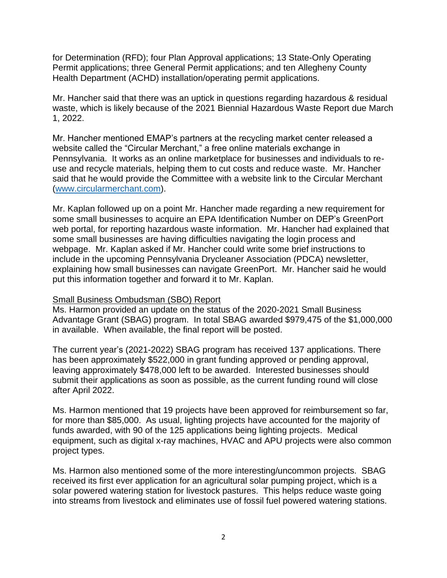for Determination (RFD); four Plan Approval applications; 13 State-Only Operating Permit applications; three General Permit applications; and ten Allegheny County Health Department (ACHD) installation/operating permit applications.

Mr. Hancher said that there was an uptick in questions regarding hazardous & residual waste, which is likely because of the 2021 Biennial Hazardous Waste Report due March 1, 2022.

Mr. Hancher mentioned EMAP's partners at the recycling market center released a website called the "Circular Merchant," a free online materials exchange in Pennsylvania. It works as an online marketplace for businesses and individuals to reuse and recycle materials, helping them to cut costs and reduce waste. Mr. Hancher said that he would provide the Committee with a website link to the Circular Merchant [\(www.circularmerchant.com\)](http://www.circularmerchant.com/).

Mr. Kaplan followed up on a point Mr. Hancher made regarding a new requirement for some small businesses to acquire an EPA Identification Number on DEP's GreenPort web portal, for reporting hazardous waste information. Mr. Hancher had explained that some small businesses are having difficulties navigating the login process and webpage. Mr. Kaplan asked if Mr. Hancher could write some brief instructions to include in the upcoming Pennsylvania Drycleaner Association (PDCA) newsletter, explaining how small businesses can navigate GreenPort. Mr. Hancher said he would put this information together and forward it to Mr. Kaplan.

## Small Business Ombudsman (SBO) Report

Ms. Harmon provided an update on the status of the 2020-2021 Small Business Advantage Grant (SBAG) program. In total SBAG awarded \$979,475 of the \$1,000,000 in available. When available, the final report will be posted.

The current year's (2021-2022) SBAG program has received 137 applications. There has been approximately \$522,000 in grant funding approved or pending approval, leaving approximately \$478,000 left to be awarded. Interested businesses should submit their applications as soon as possible, as the current funding round will close after April 2022.

Ms. Harmon mentioned that 19 projects have been approved for reimbursement so far, for more than \$85,000. As usual, lighting projects have accounted for the majority of funds awarded, with 90 of the 125 applications being lighting projects. Medical equipment, such as digital x-ray machines, HVAC and APU projects were also common project types.

Ms. Harmon also mentioned some of the more interesting/uncommon projects. SBAG received its first ever application for an agricultural solar pumping project, which is a solar powered watering station for livestock pastures. This helps reduce waste going into streams from livestock and eliminates use of fossil fuel powered watering stations.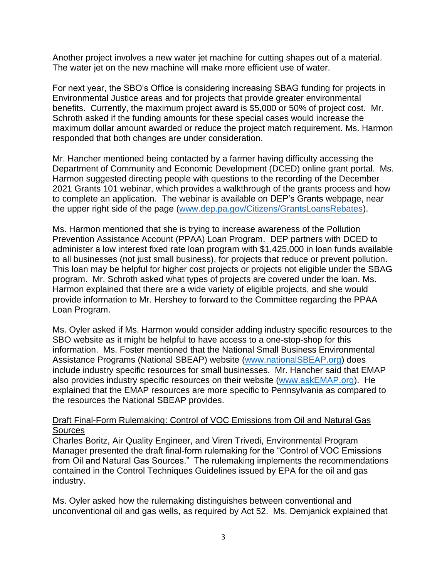Another project involves a new water jet machine for cutting shapes out of a material. The water jet on the new machine will make more efficient use of water.

For next year, the SBO's Office is considering increasing SBAG funding for projects in Environmental Justice areas and for projects that provide greater environmental benefits. Currently, the maximum project award is \$5,000 or 50% of project cost. Mr. Schroth asked if the funding amounts for these special cases would increase the maximum dollar amount awarded or reduce the project match requirement. Ms. Harmon responded that both changes are under consideration.

Mr. Hancher mentioned being contacted by a farmer having difficulty accessing the Department of Community and Economic Development (DCED) online grant portal. Ms. Harmon suggested directing people with questions to the recording of the December 2021 Grants 101 webinar, which provides a walkthrough of the grants process and how to complete an application. The webinar is available on DEP's Grants webpage, near the upper right side of the page [\(www.dep.pa.gov/Citizens/GrantsLoansRebates\)](http://www.dep.pa.gov/Citizens/GrantsLoansRebates).

Ms. Harmon mentioned that she is trying to increase awareness of the Pollution Prevention Assistance Account (PPAA) Loan Program. DEP partners with DCED to administer a low interest fixed rate loan program with \$1,425,000 in loan funds available to all businesses (not just small business), for projects that reduce or prevent pollution. This loan may be helpful for higher cost projects or projects not eligible under the SBAG program. Mr. Schroth asked what types of projects are covered under the loan. Ms. Harmon explained that there are a wide variety of eligible projects, and she would provide information to Mr. Hershey to forward to the Committee regarding the PPAA Loan Program.

Ms. Oyler asked if Ms. Harmon would consider adding industry specific resources to the SBO website as it might be helpful to have access to a one-stop-shop for this information. Ms. Foster mentioned that the National Small Business Environmental Assistance Programs (National SBEAP) website [\(www.nationalSBEAP.org\)](http://www.nationalsbeap.org/) does include industry specific resources for small businesses. Mr. Hancher said that EMAP also provides industry specific resources on their website [\(www.askEMAP.org\)](http://www.askemap.org/). He explained that the EMAP resources are more specific to Pennsylvania as compared to the resources the National SBEAP provides.

## Draft Final-Form Rulemaking: Control of VOC Emissions from Oil and Natural Gas **Sources**

Charles Boritz, Air Quality Engineer, and Viren Trivedi, Environmental Program Manager presented the draft final-form rulemaking for the "Control of VOC Emissions from Oil and Natural Gas Sources." The rulemaking implements the recommendations contained in the Control Techniques Guidelines issued by EPA for the oil and gas industry.

Ms. Oyler asked how the rulemaking distinguishes between conventional and unconventional oil and gas wells, as required by Act 52. Ms. Demjanick explained that